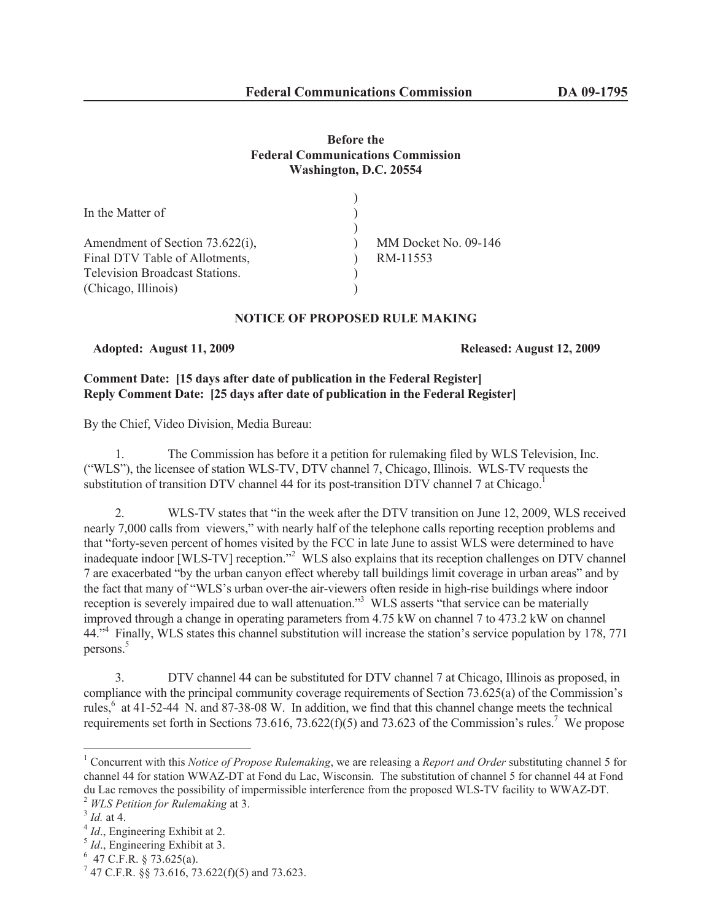# **Before the Federal Communications Commission Washington, D.C. 20554**

| MM Docket No. 09-146 |
|----------------------|
| RM-11553             |
|                      |
|                      |
|                      |

# **NOTICE OF PROPOSED RULE MAKING**

**Adopted: August 11, 2009 Released: August 12, 2009**

# **Comment Date: [15 days after date of publication in the Federal Register] Reply Comment Date: [25 days after date of publication in the Federal Register]**

By the Chief, Video Division, Media Bureau:

1. The Commission has before it a petition for rulemaking filed by WLS Television, Inc. ("WLS"), the licensee of station WLS-TV, DTV channel 7, Chicago, Illinois. WLS-TV requests the substitution of transition DTV channel 44 for its post-transition DTV channel 7 at Chicago.

2. WLS-TV states that "in the week after the DTV transition on June 12, 2009, WLS received nearly 7,000 calls from viewers," with nearly half of the telephone calls reporting reception problems and that "forty-seven percent of homes visited by the FCC in late June to assist WLS were determined to have inadequate indoor [WLS-TV] reception."<sup>2</sup> WLS also explains that its reception challenges on DTV channel 7 are exacerbated "by the urban canyon effect whereby tall buildings limit coverage in urban areas" and by the fact that many of "WLS's urban over-the air-viewers often reside in high-rise buildings where indoor reception is severely impaired due to wall attenuation."<sup>3</sup> WLS asserts "that service can be materially improved through a change in operating parameters from 4.75 kW on channel 7 to 473.2 kW on channel 44.<sup>4</sup> Finally, WLS states this channel substitution will increase the station's service population by 178, 771 persons.<sup>5</sup>

3. DTV channel 44 can be substituted for DTV channel 7 at Chicago, Illinois as proposed, in compliance with the principal community coverage requirements of Section 73.625(a) of the Commission's rules, $6$  at 41-52-44 N. and 87-38-08 W. In addition, we find that this channel change meets the technical requirements set forth in Sections 73.616, 73.622(f)(5) and 73.623 of the Commission's rules.<sup>7</sup> We propose

<sup>1</sup> Concurrent with this *Notice of Propose Rulemaking*, we are releasing a *Report and Order* substituting channel 5 for channel 44 for station WWAZ-DT at Fond du Lac, Wisconsin. The substitution of channel 5 for channel 44 at Fond du Lac removes the possibility of impermissible interference from the proposed WLS-TV facility to WWAZ-DT.

<sup>2</sup> *WLS Petition for Rulemaking* at 3.

<sup>3</sup> *Id.* at 4.

<sup>&</sup>lt;sup>4</sup> *Id.*, Engineering Exhibit at 2.

<sup>&</sup>lt;sup>5</sup> *Id.*, Engineering Exhibit at 3.

 $6$  47 C.F.R. § 73.625(a).

 $7$  47 C.F.R. §§ 73.616, 73.622(f)(5) and 73.623.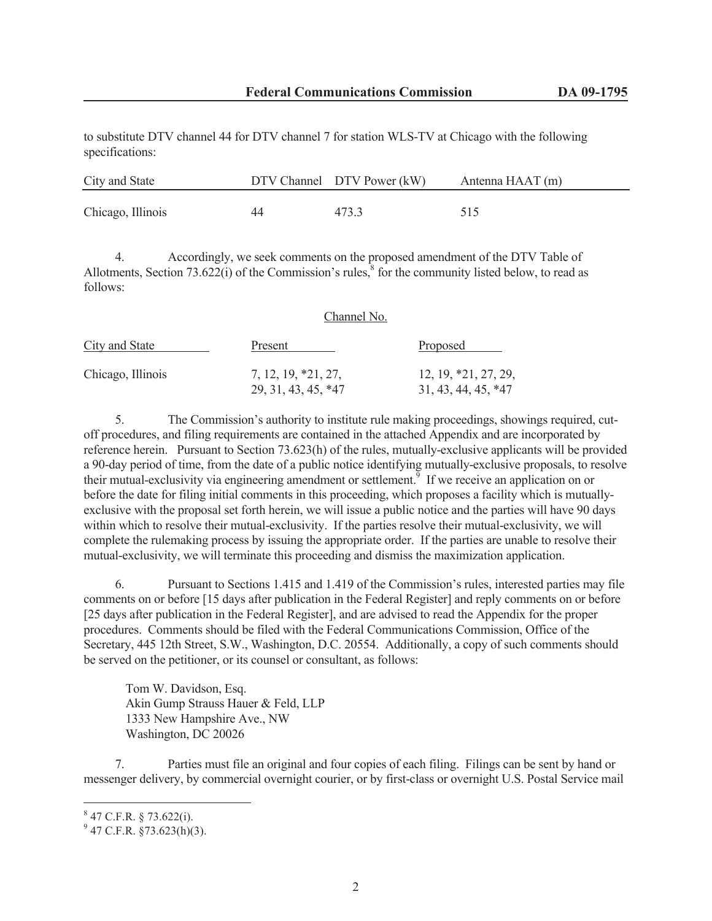to substitute DTV channel 44 for DTV channel 7 for station WLS-TV at Chicago with the following specifications:

| City and State    |    | DTV Channel DTV Power (kW) | Antenna HAAT (m) |
|-------------------|----|----------------------------|------------------|
| Chicago, Illinois | 44 | 473.3                      | 515              |

4. Accordingly, we seek comments on the proposed amendment of the DTV Table of Allotments, Section 73.622(i) of the Commission's rules, $\frac{8}{3}$  for the community listed below, to read as follows:

| City and State    | Channel No.                                |                                                 |  |  |
|-------------------|--------------------------------------------|-------------------------------------------------|--|--|
|                   | Present                                    | Proposed                                        |  |  |
| Chicago, Illinois | 7, 12, 19, *21, 27,<br>29, 31, 43, 45, *47 | $12, 19, *21, 27, 29,$<br>$31, 43, 44, 45, *47$ |  |  |

5. The Commission's authority to institute rule making proceedings, showings required, cutoff procedures, and filing requirements are contained in the attached Appendix and are incorporated by reference herein. Pursuant to Section 73.623(h) of the rules, mutually-exclusive applicants will be provided a 90-day period of time, from the date of a public notice identifying mutually-exclusive proposals, to resolve their mutual-exclusivity via engineering amendment or settlement.<sup> $9$ </sup> If we receive an application on or before the date for filing initial comments in this proceeding, which proposes a facility which is mutuallyexclusive with the proposal set forth herein, we will issue a public notice and the parties will have 90 days within which to resolve their mutual-exclusivity. If the parties resolve their mutual-exclusivity, we will complete the rulemaking process by issuing the appropriate order. If the parties are unable to resolve their mutual-exclusivity, we will terminate this proceeding and dismiss the maximization application.

6. Pursuant to Sections 1.415 and 1.419 of the Commission's rules, interested parties may file comments on or before [15 days after publication in the Federal Register] and reply comments on or before [25 days after publication in the Federal Register], and are advised to read the Appendix for the proper procedures. Comments should be filed with the Federal Communications Commission, Office of the Secretary, 445 12th Street, S.W., Washington, D.C. 20554. Additionally, a copy of such comments should be served on the petitioner, or its counsel or consultant, as follows:

Tom W. Davidson, Esq. Akin Gump Strauss Hauer & Feld, LLP 1333 New Hampshire Ave., NW Washington, DC 20026

7. Parties must file an original and four copies of each filing. Filings can be sent by hand or messenger delivery, by commercial overnight courier, or by first-class or overnight U.S. Postal Service mail

 $847$  C.F.R. § 73.622(i).

 $9^9$  47 C.F.R. §73.623(h)(3).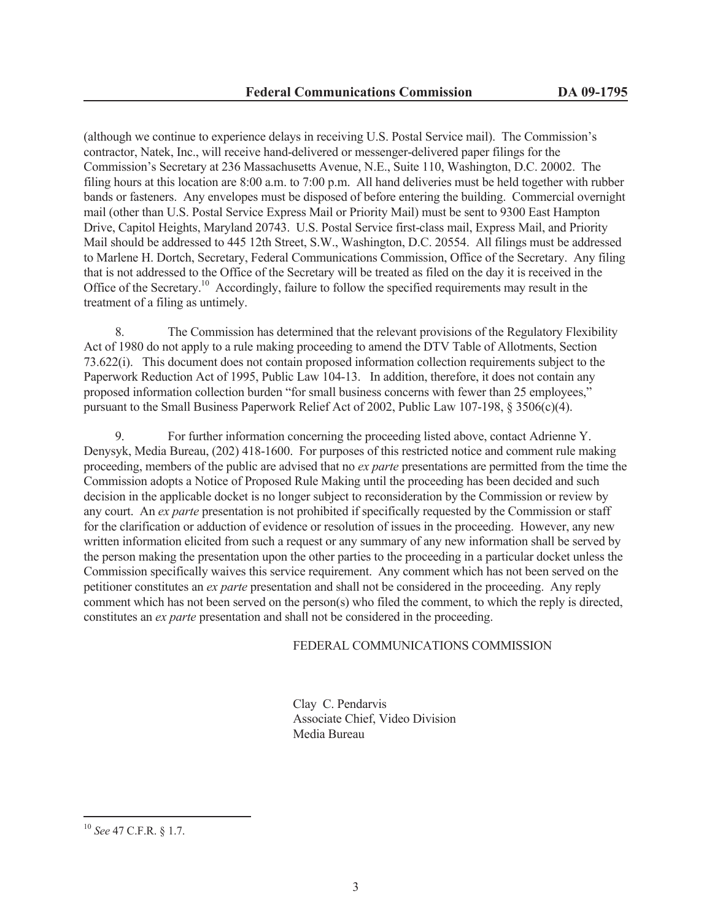(although we continue to experience delays in receiving U.S. Postal Service mail). The Commission's contractor, Natek, Inc., will receive hand-delivered or messenger-delivered paper filings for the Commission's Secretary at 236 Massachusetts Avenue, N.E., Suite 110, Washington, D.C. 20002. The filing hours at this location are 8:00 a.m. to 7:00 p.m. All hand deliveries must be held together with rubber bands or fasteners. Any envelopes must be disposed of before entering the building. Commercial overnight mail (other than U.S. Postal Service Express Mail or Priority Mail) must be sent to 9300 East Hampton Drive, Capitol Heights, Maryland 20743. U.S. Postal Service first-class mail, Express Mail, and Priority Mail should be addressed to 445 12th Street, S.W., Washington, D.C. 20554. All filings must be addressed to Marlene H. Dortch, Secretary, Federal Communications Commission, Office of the Secretary. Any filing that is not addressed to the Office of the Secretary will be treated as filed on the day it is received in the Office of the Secretary.<sup>10</sup> Accordingly, failure to follow the specified requirements may result in the treatment of a filing as untimely.

8. The Commission has determined that the relevant provisions of the Regulatory Flexibility Act of 1980 do not apply to a rule making proceeding to amend the DTV Table of Allotments, Section 73.622(i). This document does not contain proposed information collection requirements subject to the Paperwork Reduction Act of 1995, Public Law 104-13. In addition, therefore, it does not contain any proposed information collection burden "for small business concerns with fewer than 25 employees," pursuant to the Small Business Paperwork Relief Act of 2002, Public Law 107-198, § 3506(c)(4).

9. For further information concerning the proceeding listed above, contact Adrienne Y. Denysyk, Media Bureau, (202) 418-1600. For purposes of this restricted notice and comment rule making proceeding, members of the public are advised that no *ex parte* presentations are permitted from the time the Commission adopts a Notice of Proposed Rule Making until the proceeding has been decided and such decision in the applicable docket is no longer subject to reconsideration by the Commission or review by any court. An *ex parte* presentation is not prohibited if specifically requested by the Commission or staff for the clarification or adduction of evidence or resolution of issues in the proceeding. However, any new written information elicited from such a request or any summary of any new information shall be served by the person making the presentation upon the other parties to the proceeding in a particular docket unless the Commission specifically waives this service requirement. Any comment which has not been served on the petitioner constitutes an *ex parte* presentation and shall not be considered in the proceeding. Any reply comment which has not been served on the person(s) who filed the comment, to which the reply is directed, constitutes an *ex parte* presentation and shall not be considered in the proceeding.

### FEDERAL COMMUNICATIONS COMMISSION

Clay C. Pendarvis Associate Chief, Video Division Media Bureau

<sup>10</sup> *See* 47 C.F.R. § 1.7.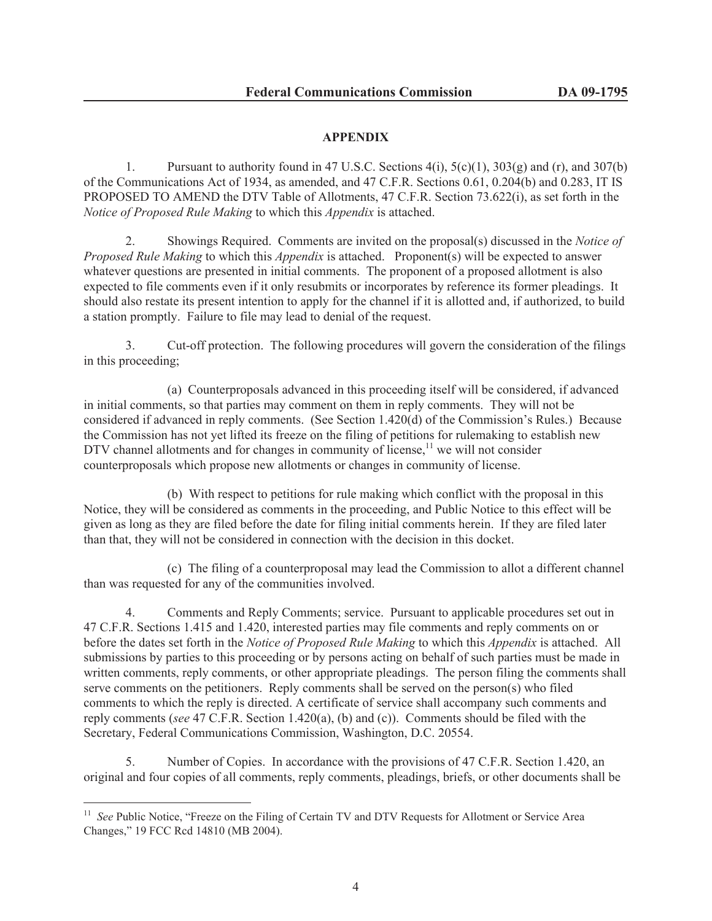# **APPENDIX**

1. Pursuant to authority found in 47 U.S.C. Sections  $4(i)$ ,  $5(c)(1)$ ,  $303(g)$  and  $(r)$ , and  $307(b)$ of the Communications Act of 1934, as amended, and 47 C.F.R. Sections 0.61, 0.204(b) and 0.283, IT IS PROPOSED TO AMEND the DTV Table of Allotments, 47 C.F.R. Section 73.622(i), as set forth in the *Notice of Proposed Rule Making* to which this *Appendix* is attached.

2. Showings Required. Comments are invited on the proposal(s) discussed in the *Notice of Proposed Rule Making* to which this *Appendix* is attached. Proponent(s) will be expected to answer whatever questions are presented in initial comments. The proponent of a proposed allotment is also expected to file comments even if it only resubmits or incorporates by reference its former pleadings. It should also restate its present intention to apply for the channel if it is allotted and, if authorized, to build a station promptly. Failure to file may lead to denial of the request.

3. Cut-off protection. The following procedures will govern the consideration of the filings in this proceeding;

(a) Counterproposals advanced in this proceeding itself will be considered, if advanced in initial comments, so that parties may comment on them in reply comments. They will not be considered if advanced in reply comments. (See Section 1.420(d) of the Commission's Rules.) Because the Commission has not yet lifted its freeze on the filing of petitions for rulemaking to establish new DTV channel allotments and for changes in community of license, $11$  we will not consider counterproposals which propose new allotments or changes in community of license.

(b) With respect to petitions for rule making which conflict with the proposal in this Notice, they will be considered as comments in the proceeding, and Public Notice to this effect will be given as long as they are filed before the date for filing initial comments herein. If they are filed later than that, they will not be considered in connection with the decision in this docket.

(c) The filing of a counterproposal may lead the Commission to allot a different channel than was requested for any of the communities involved.

4. Comments and Reply Comments; service. Pursuant to applicable procedures set out in 47 C.F.R. Sections 1.415 and 1.420, interested parties may file comments and reply comments on or before the dates set forth in the *Notice of Proposed Rule Making* to which this *Appendix* is attached. All submissions by parties to this proceeding or by persons acting on behalf of such parties must be made in written comments, reply comments, or other appropriate pleadings. The person filing the comments shall serve comments on the petitioners. Reply comments shall be served on the person(s) who filed comments to which the reply is directed. A certificate of service shall accompany such comments and reply comments (*see* 47 C.F.R. Section 1.420(a), (b) and (c)). Comments should be filed with the Secretary, Federal Communications Commission, Washington, D.C. 20554.

5. Number of Copies. In accordance with the provisions of 47 C.F.R. Section 1.420, an original and four copies of all comments, reply comments, pleadings, briefs, or other documents shall be

<sup>&</sup>lt;sup>11</sup> *See* Public Notice, "Freeze on the Filing of Certain TV and DTV Requests for Allotment or Service Area Changes," 19 FCC Rcd 14810 (MB 2004).